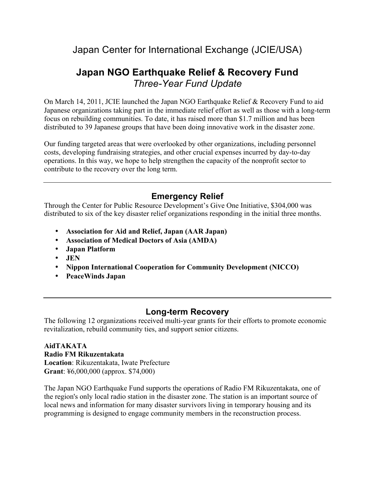# Japan Center for International Exchange (JCIE/USA)

# **Japan NGO Earthquake Relief & Recovery Fund**  *Three-Year Fund Update*

On March 14, 2011, JCIE launched the Japan NGO Earthquake Relief & Recovery Fund to aid Japanese organizations taking part in the immediate relief effort as well as those with a long-term focus on rebuilding communities. To date, it has raised more than \$1.7 million and has been distributed to 39 Japanese groups that have been doing innovative work in the disaster zone.

Our funding targeted areas that were overlooked by other organizations, including personnel costs, developing fundraising strategies, and other crucial expenses incurred by day-to-day operations. In this way, we hope to help strengthen the capacity of the nonprofit sector to contribute to the recovery over the long term.

# **Emergency Relief**

Through the Center for Public Resource Development's Give One Initiative, \$304,000 was distributed to six of the key disaster relief organizations responding in the initial three months.

- **Association for Aid and Relief, Japan (AAR Japan)**
- **Association of Medical Doctors of Asia (AMDA)**
- **Japan Platform**
- **JEN**
- **Nippon International Cooperation for Community Development (NICCO)**
- **PeaceWinds Japan**

## **Long-term Recovery**

The following 12 organizations received multi-year grants for their efforts to promote economic revitalization, rebuild community ties, and support senior citizens.

**AidTAKATA Radio FM Rikuzentakata Location**: Rikuzentakata, Iwate Prefecture **Grant**: ¥6,000,000 (approx. \$74,000)

The Japan NGO Earthquake Fund supports the operations of Radio FM Rikuzentakata, one of the region's only local radio station in the disaster zone. The station is an important source of local news and information for many disaster survivors living in temporary housing and its programming is designed to engage community members in the reconstruction process.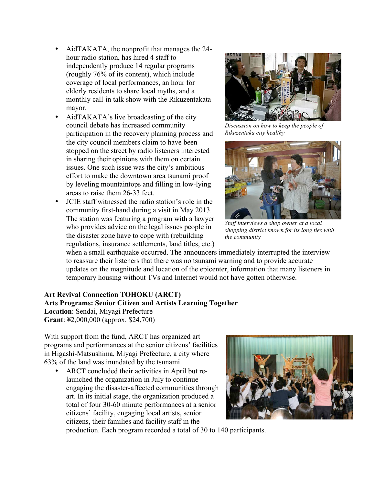- AidTAKATA, the nonprofit that manages the 24 hour radio station, has hired 4 staff to independently produce 14 regular programs (roughly 76% of its content), which include coverage of local performances, an hour for elderly residents to share local myths, and a monthly call-in talk show with the Rikuzentakata mayor.
- AidTAKATA's live broadcasting of the city council debate has increased community participation in the recovery planning process and the city council members claim to have been stopped on the street by radio listeners interested in sharing their opinions with them on certain issues. One such issue was the city's ambitious effort to make the downtown area tsunami proof by leveling mountaintops and filling in low-lying areas to raise them 26-33 feet.
- JCIE staff witnessed the radio station's role in the community first-hand during a visit in May 2013. The station was featuring a program with a lawyer who provides advice on the legal issues people in the disaster zone have to cope with (rebuilding regulations, insurance settlements, land titles, etc.)



*Discussion on how to keep the people of Rikuzentaka city healthy*



*Staff interviews a shop owner at a local shopping district known for its long ties with the community* 

when a small earthquake occurred. The announcers immediately interrupted the interview to reassure their listeners that there was no tsunami warning and to provide accurate updates on the magnitude and location of the epicenter, information that many listeners in temporary housing without TVs and Internet would not have gotten otherwise.

#### **Art Revival Connection TOHOKU (ARCT) Arts Programs: Senior Citizen and Artists Learning Together Location**: Sendai, Miyagi Prefecture **Grant**: ¥2,000,000 (approx. \$24,700)

With support from the fund, ARCT has organized art programs and performances at the senior citizens' facilities in Higashi-Matsushima, Miyagi Prefecture, a city where 63% of the land was inundated by the tsunami.

• ARCT concluded their activities in April but relaunched the organization in July to continue engaging the disaster-affected communities through art. In its initial stage, the organization produced a total of four 30-60 minute performances at a senior citizens' facility, engaging local artists, senior citizens, their families and facility staff in the



production. Each program recorded a total of 30 to 140 participants.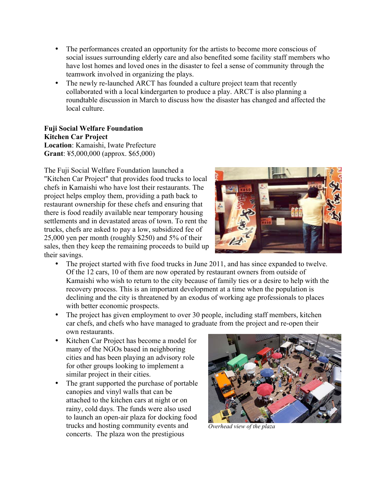- The performances created an opportunity for the artists to become more conscious of social issues surrounding elderly care and also benefited some facility staff members who have lost homes and loved ones in the disaster to feel a sense of community through the teamwork involved in organizing the plays.
- The newly re-launched ARCT has founded a culture project team that recently collaborated with a local kindergarten to produce a play. ARCT is also planning a roundtable discussion in March to discuss how the disaster has changed and affected the local culture.

**Fuji Social Welfare Foundation Kitchen Car Project Location**: Kamaishi, Iwate Prefecture **Grant**: ¥5,000,000 (approx. \$65,000)

The Fuji Social Welfare Foundation launched a "Kitchen Car Project" that provides food trucks to local chefs in Kamaishi who have lost their restaurants. The project helps employ them, providing a path back to restaurant ownership for these chefs and ensuring that there is food readily available near temporary housing settlements and in devastated areas of town. To rent the trucks, chefs are asked to pay a low, subsidized fee of 25,000 yen per month (roughly \$250) and 5% of their sales, then they keep the remaining proceeds to build up their savings.



- The project started with five food trucks in June 2011, and has since expanded to twelve. Of the 12 cars, 10 of them are now operated by restaurant owners from outside of Kamaishi who wish to return to the city because of family ties or a desire to help with the recovery process. This is an important development at a time when the population is declining and the city is threatened by an exodus of working age professionals to places with better economic prospects.
- The project has given employment to over 30 people, including staff members, kitchen car chefs, and chefs who have managed to graduate from the project and re-open their own restaurants.
- Kitchen Car Project has become a model for many of the NGOs based in neighboring cities and has been playing an advisory role for other groups looking to implement a similar project in their cities.
- The grant supported the purchase of portable canopies and vinyl walls that can be attached to the kitchen cars at night or on rainy, cold days. The funds were also used to launch an open-air plaza for docking food trucks and hosting community events and concerts. The plaza won the prestigious



*Overhead view of the plaza*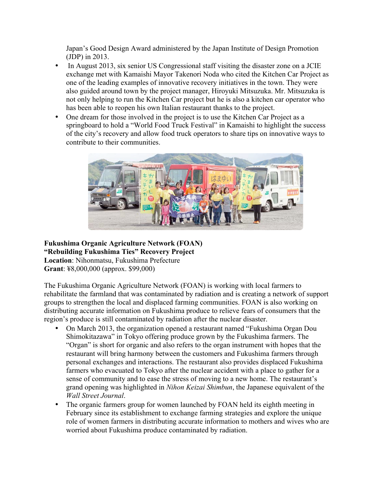Japan's Good Design Award administered by the Japan Institute of Design Promotion (JDP) in 2013.

- In August 2013, six senior US Congressional staff visiting the disaster zone on a JCIE exchange met with Kamaishi Mayor Takenori Noda who cited the Kitchen Car Project as one of the leading examples of innovative recovery initiatives in the town. They were also guided around town by the project manager, Hiroyuki Mitsuzuka. Mr. Mitsuzuka is not only helping to run the Kitchen Car project but he is also a kitchen car operator who has been able to reopen his own Italian restaurant thanks to the project.
- One dream for those involved in the project is to use the Kitchen Car Project as a springboard to hold a "World Food Truck Festival" in Kamaishi to highlight the success of the city's recovery and allow food truck operators to share tips on innovative ways to contribute to their communities.



**Fukushima Organic Agriculture Network (FOAN) "Rebuilding Fukushima Ties" Recovery Project Location**: Nihonmatsu, Fukushima Prefecture **Grant**: ¥8,000,000 (approx. \$99,000)

The Fukushima Organic Agriculture Network (FOAN) is working with local farmers to rehabilitate the farmland that was contaminated by radiation and is creating a network of support groups to strengthen the local and displaced farming communities. FOAN is also working on distributing accurate information on Fukushima produce to relieve fears of consumers that the region's produce is still contaminated by radiation after the nuclear disaster.

- On March 2013, the organization opened a restaurant named "Fukushima Organ Dou Shimokitazawa" in Tokyo offering produce grown by the Fukushima farmers. The "Organ" is short for organic and also refers to the organ instrument with hopes that the restaurant will bring harmony between the customers and Fukushima farmers through personal exchanges and interactions. The restaurant also provides displaced Fukushima farmers who evacuated to Tokyo after the nuclear accident with a place to gather for a sense of community and to ease the stress of moving to a new home. The restaurant's grand opening was highlighted in *Nihon Keizai Shimbun*, the Japanese equivalent of the *Wall Street Journal*.
- The organic farmers group for women launched by FOAN held its eighth meeting in February since its establishment to exchange farming strategies and explore the unique role of women farmers in distributing accurate information to mothers and wives who are worried about Fukushima produce contaminated by radiation.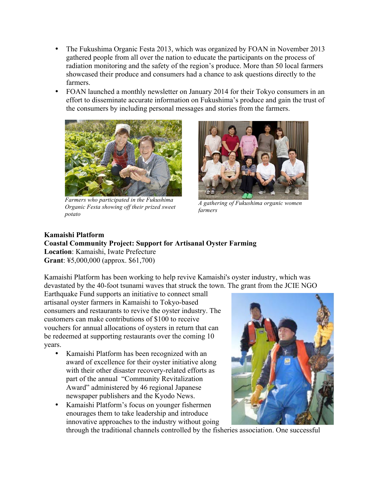- The Fukushima Organic Festa 2013, which was organized by FOAN in November 2013 gathered people from all over the nation to educate the participants on the process of radiation monitoring and the safety of the region's produce. More than 50 local farmers showcased their produce and consumers had a chance to ask questions directly to the farmers.
- FOAN launched a monthly newsletter on January 2014 for their Tokyo consumers in an effort to disseminate accurate information on Fukushima's produce and gain the trust of the consumers by including personal messages and stories from the farmers.



*Farmers who participated in the Fukushima Organic Festa showing off their prized sweet potato*



*A gathering of Fukushima organic women farmers*

# **Kamaishi Platform Coastal Community Project: Support for Artisanal Oyster Farming Location**: Kamaishi, Iwate Prefecture

**Grant**: ¥5,000,000 (approx. \$61,700)

Kamaishi Platform has been working to help revive Kamaishi's oyster industry, which was devastated by the 40-foot tsunami waves that struck the town. The grant from the JCIE NGO

Earthquake Fund supports an initiative to connect small artisanal oyster farmers in Kamaishi to Tokyo-based consumers and restaurants to revive the oyster industry. The customers can make contributions of \$100 to receive vouchers for annual allocations of oysters in return that can be redeemed at supporting restaurants over the coming 10 years.

- Kamaishi Platform has been recognized with an award of excellence for their oyster initiative along with their other disaster recovery-related efforts as part of the annual "Community Revitalization Award" administered by 46 regional Japanese newspaper publishers and the Kyodo News.
- Kamaishi Platform's focus on younger fishermen enourages them to take leadership and introduce innovative approaches to the industry without going



through the traditional channels controlled by the fisheries association. One successful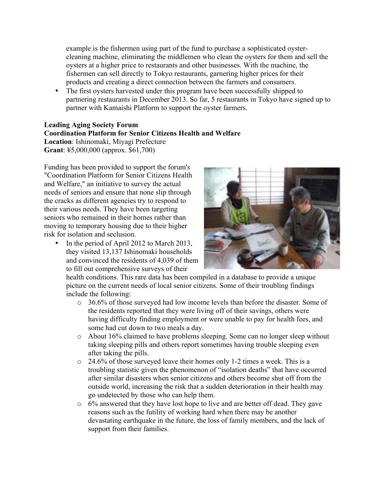example is the fishermen using part of the fund to purchase a sophisticated oystercleaning machine, eliminating the middlemen who clean the oysters for them and sell the oysters at a higher price to restaurants and other businesses. With the machine, the fishermen can sell directly to Tokyo restaurants, garnering higher prices for their products and creating a direct connection between the farmers and consumers.

• The first oysters harvested under this program have been successfully shipped to partnering restaurants in December 2013. So far, 5 restaurants in Tokyo have signed up to partner with Kamaishi Platform to support the oyster farmers.

### **Leading Aging Society Forum Coordination Platform for Senior Citizens Health and Welfare Location**: Ishinomaki, Miyagi Prefecture

**Grant**: ¥5,000,000 (approx. \$61,700)

Funding has been provided to support the forum's "Coordination Platform for Senior Citizens Health and Welfare," an initiative to survey the actual needs of seniors and ensure that none slip through the cracks as different agencies try to respond to their various needs. They have been targeting seniors who remained in their homes rather than moving to temporary housing due to their higher risk for isolation and seclusion.

• In the period of April 2012 to March 2013, they visited 13,137 Ishinomaki households and convinced the residents of 4,039 of them to fill out comprehensive surveys of their



health conditions. This rare data has been compiled in a database to provide a unique picture on the current needs of local senior citizens. Some of their troubling findings include the following:

- o 36.6% of those surveyed had low income levels than before the disaster. Some of the residents reported that they were living off of their savings, others were having difficulty finding employment or were unable to pay for health fees, and some had cut down to two meals a day.
- o About 16% claimed to have problems sleeping. Some can no longer sleep without taking sleeping pills and others report sometimes having trouble sleeping even after taking the pills.
- $\circ$  24.6% of those surveyed leave their homes only 1-2 times a week. This is a troubling statistic given the phenomenon of "isolation deaths" that have occurred after similar disasters when senior citizens and others become shut off from the outside world, increasing the risk that a sudden deterioration in their health may go undetected by those who can help them.
- o 6% answered that they have lost hope to live and are better off dead. They gave reasons such as the futility of working hard when there may be another devastating earthquake in the future, the loss of family members, and the lack of support from their families.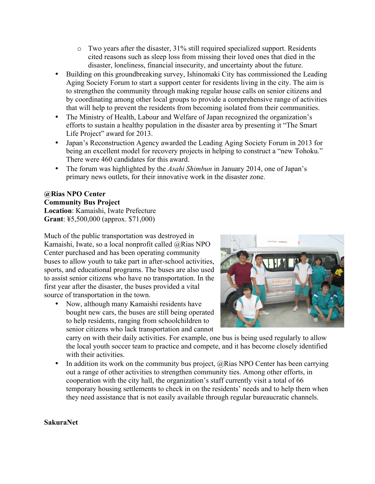- o Two years after the disaster, 31% still required specialized support. Residents cited reasons such as sleep loss from missing their loved ones that died in the disaster, loneliness, financial insecurity, and uncertainty about the future.
- Building on this groundbreaking survey, Ishinomaki City has commissioned the Leading Aging Society Forum to start a support center for residents living in the city. The aim is to strengthen the community through making regular house calls on senior citizens and by coordinating among other local groups to provide a comprehensive range of activities that will help to prevent the residents from becoming isolated from their communities.
- The Ministry of Health, Labour and Welfare of Japan recognized the organization's efforts to sustain a healthy population in the disaster area by presenting it "The Smart Life Project" award for 2013.
- Japan's Reconstruction Agency awarded the Leading Aging Society Forum in 2013 for being an excellent model for recovery projects in helping to construct a "new Tohoku." There were 460 candidates for this award.
- The forum was highlighted by the *Asahi Shimbun* in January 2014, one of Japan's primary news outlets, for their innovative work in the disaster zone.

#### **@Rias NPO Center Community Bus Project**

**Location**: Kamaishi, Iwate Prefecture **Grant**: ¥5,500,000 (approx. \$71,000)

Much of the public transportation was destroyed in Kamaishi, Iwate, so a local nonprofit called @Rias NPO Center purchased and has been operating community buses to allow youth to take part in after-school activities, sports, and educational programs. The buses are also used to assist senior citizens who have no transportation. In the first year after the disaster, the buses provided a vital source of transportation in the town.

• Now, although many Kamaishi residents have bought new cars, the buses are still being operated to help residents, ranging from schoolchildren to senior citizens who lack transportation and cannot



carry on with their daily activities. For example, one bus is being used regularly to allow the local youth soccer team to practice and compete, and it has become closely identified with their activities.

• In addition its work on the community bus project,  $@Rias$  NPO Center has been carrying out a range of other activities to strengthen community ties. Among other efforts, in cooperation with the city hall, the organization's staff currently visit a total of 66 temporary housing settlements to check in on the residents' needs and to help them when they need assistance that is not easily available through regular bureaucratic channels.

#### **SakuraNet**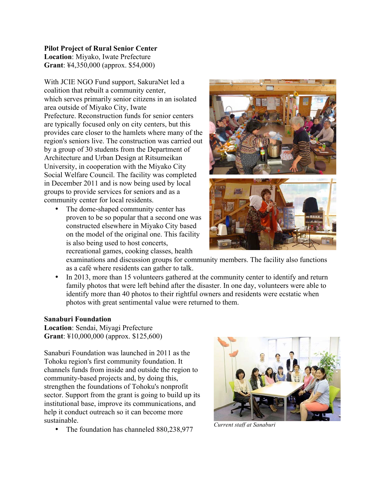#### **Pilot Project of Rural Senior Center**

**Location**: Miyako, Iwate Prefecture **Grant**: ¥4,350,000 (approx. \$54,000)

With JCIE NGO Fund support, SakuraNet led a coalition that rebuilt a community center, which serves primarily senior citizens in an isolated area outside of Miyako City, Iwate Prefecture. Reconstruction funds for senior centers are typically focused only on city centers, but this provides care closer to the hamlets where many of the region's seniors live. The construction was carried out by a group of 30 students from the Department of Architecture and Urban Design at Ritsumeikan University, in cooperation with the Miyako City Social Welfare Council. The facility was completed in December 2011 and is now being used by local groups to provide services for seniors and as a community center for local residents.

• The dome-shaped community center has proven to be so popular that a second one was constructed elsewhere in Miyako City based on the model of the original one. This facility is also being used to host concerts, recreational games, cooking classes, health



examinations and discussion groups for community members. The facility also functions as a café where residents can gather to talk.

In 2013, more than 15 volunteers gathered at the community center to identify and return family photos that were left behind after the disaster. In one day, volunteers were able to identify more than 40 photos to their rightful owners and residents were ecstatic when photos with great sentimental value were returned to them.

### **Sanaburi Foundation**

**Location**: Sendai, Miyagi Prefecture **Grant**: ¥10,000,000 (approx. \$125,600)

Sanaburi Foundation was launched in 2011 as the Tohoku region's first community foundation. It channels funds from inside and outside the region to community-based projects and, by doing this, strengthen the foundations of Tohoku's nonprofit sector. Support from the grant is going to build up its institutional base, improve its communications, and help it conduct outreach so it can become more sustainable.

• The foundation has channeled 880,238,977 *Current staff at Sanaburi*

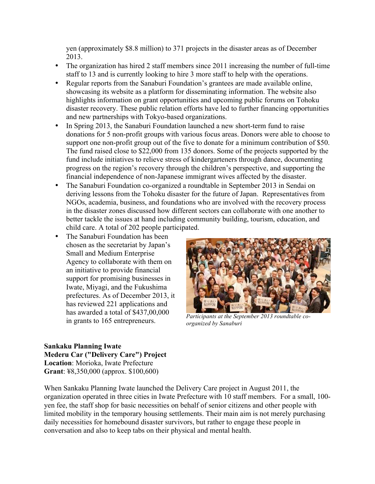yen (approximately \$8.8 million) to 371 projects in the disaster areas as of December 2013.

- The organization has hired 2 staff members since 2011 increasing the number of full-time staff to 13 and is currently looking to hire 3 more staff to help with the operations.
- Regular reports from the Sanaburi Foundation's grantees are made available online, showcasing its website as a platform for disseminating information. The website also highlights information on grant opportunities and upcoming public forums on Tohoku disaster recovery. These public relation efforts have led to further financing opportunities and new partnerships with Tokyo-based organizations.
- In Spring 2013, the Sanaburi Foundation launched a new short-term fund to raise donations for 5 non-profit groups with various focus areas. Donors were able to choose to support one non-profit group out of the five to donate for a minimum contribution of \$50. The fund raised close to \$22,000 from 135 donors. Some of the projects supported by the fund include initiatives to relieve stress of kindergarteners through dance, documenting progress on the region's recovery through the children's perspective, and supporting the financial independence of non-Japanese immigrant wives affected by the disaster.
- The Sanaburi Foundation co-organized a roundtable in September 2013 in Sendai on deriving lessons from the Tohoku disaster for the future of Japan. Representatives from NGOs, academia, business, and foundations who are involved with the recovery process in the disaster zones discussed how different sectors can collaborate with one another to better tackle the issues at hand including community building, tourism, education, and child care. A total of 202 people participated.
- The Sanaburi Foundation has been chosen as the secretariat by Japan's Small and Medium Enterprise Agency to collaborate with them on an initiative to provide financial support for promising businesses in Iwate, Miyagi, and the Fukushima prefectures. As of December 2013, it has reviewed 221 applications and has awarded a total of \$437,00,000 in grants to 165 entrepreneurs.



*Participants at the September 2013 roundtable coorganized by Sanaburi*

### **Sankaku Planning Iwate Mederu Car ("Delivery Care") Project Location**: Morioka, Iwate Prefecture **Grant**: ¥8,350,000 (approx. \$100,600)

When Sankaku Planning Iwate launched the Delivery Care project in August 2011, the organization operated in three cities in Iwate Prefecture with 10 staff members. For a small, 100 yen fee, the staff shop for basic necessities on behalf of senior citizens and other people with limited mobility in the temporary housing settlements. Their main aim is not merely purchasing daily necessities for homebound disaster survivors, but rather to engage these people in conversation and also to keep tabs on their physical and mental health.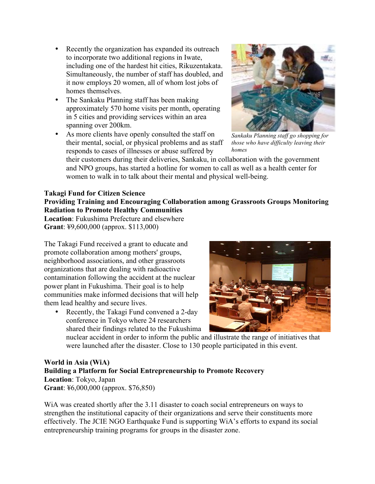- Recently the organization has expanded its outreach to incorporate two additional regions in Iwate, including one of the hardest hit cities, Rikuzentakata. Simultaneously, the number of staff has doubled, and it now employs 20 women, all of whom lost jobs of homes themselves.
- The Sankaku Planning staff has been making approximately 570 home visits per month, operating in 5 cities and providing services within an area spanning over 200km.
- As more clients have openly consulted the staff on their mental, social, or physical problems and as staff responds to cases of illnesses or abuse suffered by



*Sankaku Planning staff go shopping for those who have difficulty leaving their homes*

their customers during their deliveries, Sankaku, in collaboration with the government and NPO groups, has started a hotline for women to call as well as a health center for women to walk in to talk about their mental and physical well-being.

### **Takagi Fund for Citizen Science**

**Providing Training and Encouraging Collaboration among Grassroots Groups Monitoring Radiation to Promote Healthy Communities**

**Location**: Fukushima Prefecture and elsewhere **Grant**: ¥9,600,000 (approx. \$113,000)

The Takagi Fund received a grant to educate and promote collaboration among mothers' groups, neighborhood associations, and other grassroots organizations that are dealing with radioactive contamination following the accident at the nuclear power plant in Fukushima. Their goal is to help communities make informed decisions that will help them lead healthy and secure lives.

• Recently, the Takagi Fund convened a 2-day conference in Tokyo where 24 researchers shared their findings related to the Fukushima



nuclear accident in order to inform the public and illustrate the range of initiatives that were launched after the disaster. Close to 130 people participated in this event.

**World in Asia (WiA) Building a Platform for Social Entrepreneurship to Promote Recovery Location**: Tokyo, Japan **Grant**: ¥6,000,000 (approx. \$76,850)

WiA was created shortly after the 3.11 disaster to coach social entrepreneurs on ways to strengthen the institutional capacity of their organizations and serve their constituents more effectively. The JCIE NGO Earthquake Fund is supporting WiA's efforts to expand its social entrepreneurship training programs for groups in the disaster zone.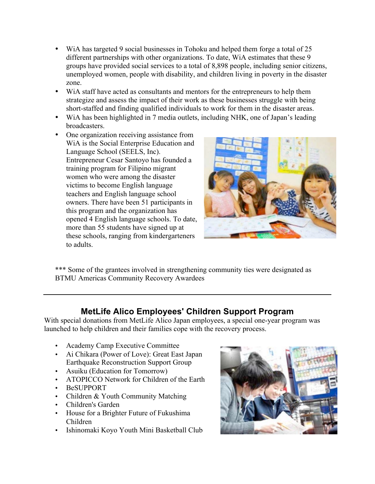- WiA has targeted 9 social businesses in Tohoku and helped them forge a total of 25 different partnerships with other organizations. To date, WiA estimates that these 9 groups have provided social services to a total of 8,898 people, including senior citizens, unemployed women, people with disability, and children living in poverty in the disaster zone.
- WiA staff have acted as consultants and mentors for the entrepreneurs to help them strategize and assess the impact of their work as these businesses struggle with being short-staffed and finding qualified individuals to work for them in the disaster areas.
- WiA has been highlighted in 7 media outlets, including NHK, one of Japan's leading broadcasters.
- One organization receiving assistance from WiA is the Social Enterprise Education and Language School (SEELS, Inc). Entrepreneur Cesar Santoyo has founded a training program for Filipino migrant women who were among the disaster victims to become English language teachers and English language school owners. There have been 51 participants in this program and the organization has opened 4 English language schools. To date, more than 55 students have signed up at these schools, ranging from kindergarteners to adults.



\*\*\* Some of the grantees involved in strengthening community ties were designated as BTMU Americas Community Recovery Awardees

## **MetLife Alico Employees' Children Support Program**

With special donations from MetLife Alico Japan employees, a special one-year program was launched to help children and their families cope with the recovery process.

- Academy Camp Executive Committee
- Ai Chikara (Power of Love): Great East Japan Earthquake Reconstruction Support Group
- Asuiku (Education for Tomorrow)
- ATOPICCO Network for Children of the Earth
- BeSUPPORT
- Children & Youth Community Matching
- Children's Garden
- House for a Brighter Future of Fukushima Children
- Ishinomaki Koyo Youth Mini Basketball Club